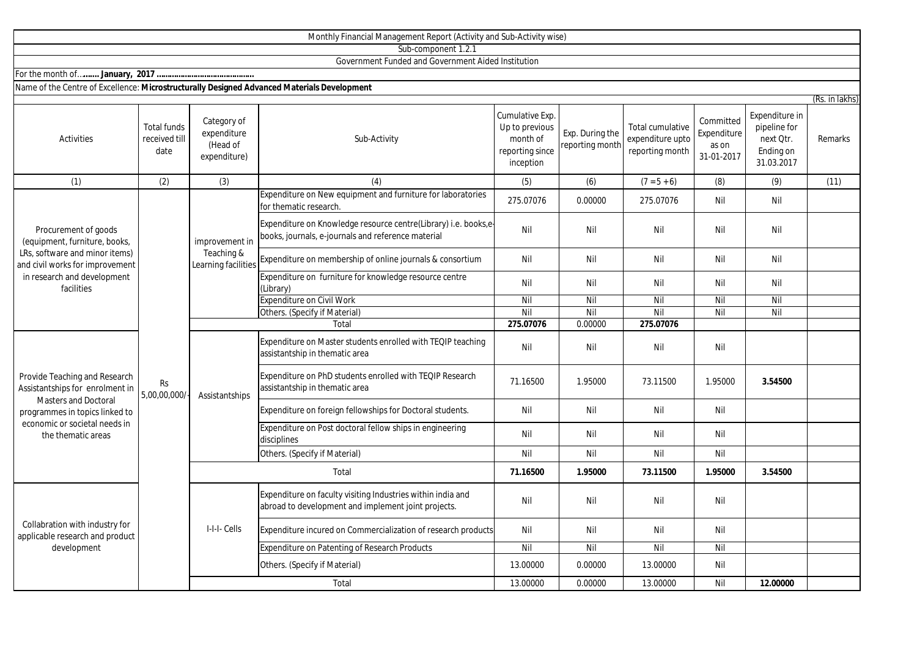|                                                                                                                                                                                          |                                             |                                                        | Sub-component 1.2.1                                                                                                   |                                                                               |                                    |                                                                |                                                 |                                                                        |                |
|------------------------------------------------------------------------------------------------------------------------------------------------------------------------------------------|---------------------------------------------|--------------------------------------------------------|-----------------------------------------------------------------------------------------------------------------------|-------------------------------------------------------------------------------|------------------------------------|----------------------------------------------------------------|-------------------------------------------------|------------------------------------------------------------------------|----------------|
|                                                                                                                                                                                          |                                             |                                                        | Government Funded and Government Aided Institution                                                                    |                                                                               |                                    |                                                                |                                                 |                                                                        |                |
|                                                                                                                                                                                          |                                             |                                                        |                                                                                                                       |                                                                               |                                    |                                                                |                                                 |                                                                        |                |
| Name of the Centre of Excellence: Microstructurally Designed Advanced Materials Development                                                                                              |                                             |                                                        |                                                                                                                       |                                                                               |                                    |                                                                |                                                 |                                                                        | (Rs. in lakhs) |
| <b>Activities</b>                                                                                                                                                                        | <b>Total funds</b><br>received till<br>date | Category of<br>expenditure<br>(Head of<br>expenditure) | Sub-Activity                                                                                                          | Cumulative Exp.<br>Up to previous<br>month of<br>reporting since<br>inception | Exp. During the<br>reporting month | <b>Total cumulative</b><br>expenditure upto<br>reporting month | Committed<br>Expenditure<br>as on<br>31-01-2017 | Expenditure in<br>pipeline for<br>next Otr.<br>Ending on<br>31.03.2017 | Remarks        |
| (1)                                                                                                                                                                                      | (2)                                         | (3)                                                    | (4)                                                                                                                   | (5)                                                                           | (6)                                | $(7 = 5 + 6)$                                                  | (8)                                             | (9)                                                                    | (11)           |
| Procurement of goods<br>(equipment, furniture, books,<br>LRs, software and minor items)<br>and civil works for improvement<br>in research and development<br>facilities                  | <b>Rs</b><br>5,00,00,000/                   | improvement in<br>Teaching &<br>Learning facilities    | Expenditure on New equipment and furniture for laboratories<br>for thematic research.                                 | 275.07076                                                                     | 0.00000                            | 275.07076                                                      | Nil                                             | Nil                                                                    |                |
|                                                                                                                                                                                          |                                             |                                                        | Expenditure on Knowledge resource centre(Library) i.e. books,e-<br>books, journals, e-journals and reference material | Nil                                                                           | Nil                                | Nil                                                            | Nil                                             | Nil                                                                    |                |
|                                                                                                                                                                                          |                                             |                                                        | Expenditure on membership of online journals & consortium                                                             | Nil                                                                           | Nil                                | Nil                                                            | Nil                                             | Nil                                                                    |                |
|                                                                                                                                                                                          |                                             |                                                        | Expenditure on furniture for knowledge resource centre<br>(Library)                                                   | Nil                                                                           | Nil                                | Nil                                                            | Nil                                             | Nil                                                                    |                |
|                                                                                                                                                                                          |                                             |                                                        | <b>Expenditure on Civil Work</b>                                                                                      | Nil                                                                           | Nil                                | Nil                                                            | Nil                                             | Nil                                                                    |                |
|                                                                                                                                                                                          |                                             |                                                        | Others. (Specify if Material)                                                                                         | Nil                                                                           | Nil                                | Nil                                                            | Nil                                             | Nil                                                                    |                |
|                                                                                                                                                                                          |                                             |                                                        | Total                                                                                                                 | 275.07076                                                                     | 0.00000                            | 275.07076                                                      |                                                 |                                                                        |                |
| Provide Teaching and Research<br>Assistantships for enrolment in<br><b>Masters and Doctoral</b><br>programmes in topics linked to<br>economic or societal needs in<br>the thematic areas |                                             | Assistantships                                         | Expenditure on Master students enrolled with TEQIP teaching<br>assistantship in thematic area                         | Nil                                                                           | Nil                                | Nil                                                            | Nil                                             |                                                                        |                |
|                                                                                                                                                                                          |                                             |                                                        | Expenditure on PhD students enrolled with TEQIP Research<br>assistantship in thematic area                            | 71.16500                                                                      | 1.95000                            | 73.11500                                                       | 1.95000                                         | 3.54500                                                                |                |
|                                                                                                                                                                                          |                                             |                                                        | Expenditure on foreign fellowships for Doctoral students.                                                             | Nil                                                                           | Nil                                | Nil                                                            | Nil                                             |                                                                        |                |
|                                                                                                                                                                                          |                                             |                                                        | Expenditure on Post doctoral fellow ships in engineering<br>disciplines                                               | Nil                                                                           | Nil                                | Nil                                                            | Nil                                             |                                                                        |                |
|                                                                                                                                                                                          |                                             |                                                        | Others. (Specify if Material)                                                                                         | Nil                                                                           | Nil                                | Nil                                                            | Nil                                             |                                                                        |                |
|                                                                                                                                                                                          |                                             | Total                                                  |                                                                                                                       | 71.16500                                                                      | 1.95000                            | 73.11500                                                       | 1.95000                                         | 3.54500                                                                |                |
| Collabration with industry for<br>applicable research and product<br>development                                                                                                         |                                             | I-I-I- Cells                                           | Expenditure on faculty visiting Industries within india and<br>abroad to development and implement joint projects.    | Nil                                                                           | Nil                                | Nil                                                            | Nil                                             |                                                                        |                |
|                                                                                                                                                                                          |                                             |                                                        | Expenditure incured on Commercialization of research products                                                         | Nil                                                                           | Nil                                | Nil                                                            | Nil                                             |                                                                        |                |
|                                                                                                                                                                                          |                                             |                                                        | Expenditure on Patenting of Research Products                                                                         | Nil                                                                           | Nil                                | Nil                                                            | Nil                                             |                                                                        |                |
|                                                                                                                                                                                          |                                             |                                                        | Others. (Specify if Material)                                                                                         | 13.00000                                                                      | 0.00000                            | 13.00000                                                       | Nil                                             |                                                                        |                |

Monthly Financial Management Report (Activity and Sub-Activity wise)

**Total** 

13.00000 0.00000 13.00000 Nil **12.00000**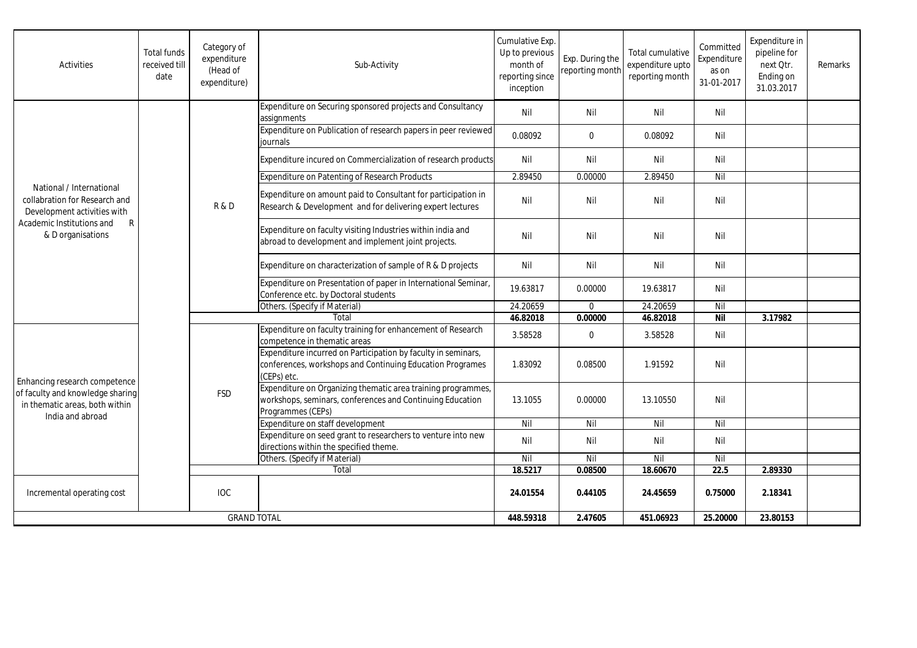| Activities                                                                                                                                      | <b>Total funds</b><br>received till<br>date | Category of<br>expenditure<br>(Head of<br>expenditure) | Sub-Activity                                                                                                                                   | Cumulative Exp.<br>Up to previous<br>month of<br>reporting since<br>inception | Exp. During the<br>reporting month | Total cumulative<br>expenditure upto<br>reporting month | Committed<br>Expenditure<br>as on<br>31-01-2017 | Expenditure in<br>pipeline for<br>next Otr.<br>Ending on<br>31.03.2017 | Remarks |
|-------------------------------------------------------------------------------------------------------------------------------------------------|---------------------------------------------|--------------------------------------------------------|------------------------------------------------------------------------------------------------------------------------------------------------|-------------------------------------------------------------------------------|------------------------------------|---------------------------------------------------------|-------------------------------------------------|------------------------------------------------------------------------|---------|
| National / International<br>collabration for Research and<br>Development activities with<br>Academic Institutions and<br>R<br>& D organisations |                                             | R&D                                                    | Expenditure on Securing sponsored projects and Consultancy<br>assignments                                                                      | Nil                                                                           | Nil                                | Nil                                                     | Nil                                             |                                                                        |         |
|                                                                                                                                                 |                                             |                                                        | Expenditure on Publication of research papers in peer reviewed<br>iournals                                                                     | 0.08092                                                                       | $\mathbf 0$                        | 0.08092                                                 | Nil                                             |                                                                        |         |
|                                                                                                                                                 |                                             |                                                        | Expenditure incured on Commercialization of research products                                                                                  | Nil                                                                           | Nil                                | Nil                                                     | Nil                                             |                                                                        |         |
|                                                                                                                                                 |                                             |                                                        | Expenditure on Patenting of Research Products                                                                                                  | 2.89450                                                                       | 0.00000                            | 2.89450                                                 | Nil                                             |                                                                        |         |
|                                                                                                                                                 |                                             |                                                        | Expenditure on amount paid to Consultant for participation in<br>Research & Development and for delivering expert lectures                     | Nil                                                                           | Nil                                | Nil                                                     | Nil                                             |                                                                        |         |
|                                                                                                                                                 |                                             |                                                        | Expenditure on faculty visiting Industries within india and<br>abroad to development and implement joint projects.                             | Nil                                                                           | Nil                                | Nil                                                     | Nil                                             |                                                                        |         |
|                                                                                                                                                 |                                             |                                                        | Expenditure on characterization of sample of R & D projects                                                                                    | Nil                                                                           | Nil                                | Nil                                                     | Nil                                             |                                                                        |         |
|                                                                                                                                                 |                                             |                                                        | Expenditure on Presentation of paper in International Seminar,<br>Conference etc. by Doctoral students                                         | 19.63817                                                                      | 0.00000                            | 19.63817                                                | Nil                                             |                                                                        |         |
|                                                                                                                                                 |                                             |                                                        | Others. (Specify if Material)                                                                                                                  | 24.20659                                                                      | $\Omega$                           | 24.20659                                                | Nil                                             |                                                                        |         |
|                                                                                                                                                 |                                             |                                                        | Total                                                                                                                                          | 46.82018                                                                      | 0.00000                            | 46.82018                                                | <b>Nil</b>                                      | 3.17982                                                                |         |
| Enhancing research competence<br>of faculty and knowledge sharing<br>in thematic areas, both within<br>India and abroad                         |                                             | <b>FSD</b>                                             | Expenditure on faculty training for enhancement of Research<br>competence in thematic areas                                                    | 3.58528                                                                       | $\mathbf 0$                        | 3.58528                                                 | Nil                                             |                                                                        |         |
|                                                                                                                                                 |                                             |                                                        | Expenditure incurred on Participation by faculty in seminars,<br>conferences, workshops and Continuing Education Programes<br>(CEPs) etc.      | 1.83092                                                                       | 0.08500                            | 1.91592                                                 | Nil                                             |                                                                        |         |
|                                                                                                                                                 |                                             |                                                        | Expenditure on Organizing thematic area training programmes,<br>workshops, seminars, conferences and Continuing Education<br>Programmes (CEPs) | 13.1055                                                                       | 0.00000                            | 13.10550                                                | Nil                                             |                                                                        |         |
|                                                                                                                                                 |                                             |                                                        | Expenditure on staff development                                                                                                               | Nil                                                                           | Nil                                | Nil                                                     | Nil                                             |                                                                        |         |
|                                                                                                                                                 |                                             |                                                        | Expenditure on seed grant to researchers to venture into new<br>directions within the specified theme.                                         | Nil                                                                           | Nil                                | Nil                                                     | Nil                                             |                                                                        |         |
|                                                                                                                                                 |                                             |                                                        | Others. (Specify if Material)                                                                                                                  | Nil                                                                           | Nil                                | Nil                                                     | Nil                                             |                                                                        |         |
|                                                                                                                                                 |                                             | Total                                                  |                                                                                                                                                | 18.5217                                                                       | 0.08500                            | 18.60670                                                | 22.5                                            | 2.89330                                                                |         |
| Incremental operating cost                                                                                                                      |                                             | <b>IOC</b>                                             |                                                                                                                                                | 24.01554                                                                      | 0.44105                            | 24.45659                                                | 0.75000                                         | 2.18341                                                                |         |
| <b>GRAND TOTAL</b>                                                                                                                              |                                             |                                                        | 448.59318                                                                                                                                      | 2.47605                                                                       | 451.06923                          | 25.20000                                                | 23.80153                                        |                                                                        |         |